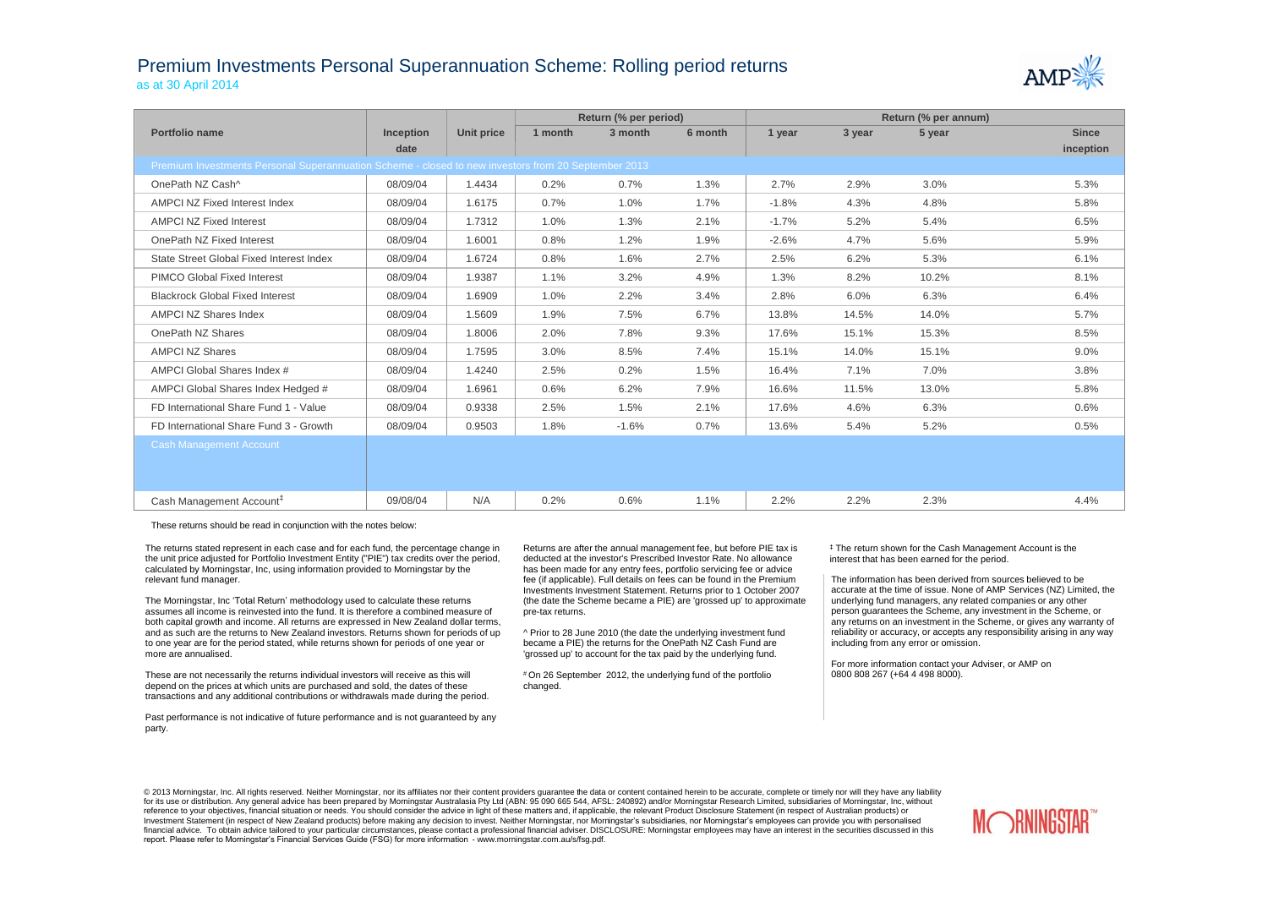## Premium Investments Personal Superannuation Scheme: Rolling period returns as at 30 April 2014



|                                                                                                     |                  |            |         | Return (% per period) |         | Return (% per annum) |        |        |              |  |
|-----------------------------------------------------------------------------------------------------|------------------|------------|---------|-----------------------|---------|----------------------|--------|--------|--------------|--|
| Portfolio name                                                                                      | <b>Inception</b> | Unit price | 1 month | 3 month               | 6 month | 1 year               | 3 year | 5 year | <b>Since</b> |  |
|                                                                                                     | date             |            |         |                       |         |                      |        |        | inception    |  |
| Premium Investments Personal Superannuation Scheme - closed to new investors from 20 September 2013 |                  |            |         |                       |         |                      |        |        |              |  |
| OnePath NZ Cash^                                                                                    | 08/09/04         | 1.4434     | 0.2%    | 0.7%                  | 1.3%    | 2.7%                 | 2.9%   | 3.0%   | 5.3%         |  |
| AMPCI NZ Fixed Interest Index                                                                       | 08/09/04         | 1.6175     | 0.7%    | 1.0%                  | 1.7%    | $-1.8%$              | 4.3%   | 4.8%   | 5.8%         |  |
| <b>AMPCI NZ Fixed Interest</b>                                                                      | 08/09/04         | 1.7312     | 1.0%    | 1.3%                  | 2.1%    | $-1.7%$              | 5.2%   | 5.4%   | 6.5%         |  |
| OnePath NZ Fixed Interest                                                                           | 08/09/04         | 1.6001     | 0.8%    | 1.2%                  | 1.9%    | $-2.6%$              | 4.7%   | 5.6%   | 5.9%         |  |
| State Street Global Fixed Interest Index                                                            | 08/09/04         | 1.6724     | 0.8%    | 1.6%                  | 2.7%    | 2.5%                 | 6.2%   | 5.3%   | 6.1%         |  |
| <b>PIMCO Global Fixed Interest</b>                                                                  | 08/09/04         | 1.9387     | 1.1%    | 3.2%                  | 4.9%    | 1.3%                 | 8.2%   | 10.2%  | 8.1%         |  |
| <b>Blackrock Global Fixed Interest</b>                                                              | 08/09/04         | 1.6909     | 1.0%    | 2.2%                  | 3.4%    | 2.8%                 | 6.0%   | 6.3%   | 6.4%         |  |
| <b>AMPCI NZ Shares Index</b>                                                                        | 08/09/04         | 1.5609     | 1.9%    | 7.5%                  | 6.7%    | 13.8%                | 14.5%  | 14.0%  | 5.7%         |  |
| OnePath NZ Shares                                                                                   | 08/09/04         | 1.8006     | 2.0%    | 7.8%                  | 9.3%    | 17.6%                | 15.1%  | 15.3%  | 8.5%         |  |
| <b>AMPCI NZ Shares</b>                                                                              | 08/09/04         | 1.7595     | 3.0%    | 8.5%                  | 7.4%    | 15.1%                | 14.0%  | 15.1%  | 9.0%         |  |
| AMPCI Global Shares Index #                                                                         | 08/09/04         | 1.4240     | 2.5%    | 0.2%                  | 1.5%    | 16.4%                | 7.1%   | 7.0%   | 3.8%         |  |
| AMPCI Global Shares Index Hedged #                                                                  | 08/09/04         | 1.6961     | 0.6%    | 6.2%                  | 7.9%    | 16.6%                | 11.5%  | 13.0%  | 5.8%         |  |
| FD International Share Fund 1 - Value                                                               | 08/09/04         | 0.9338     | 2.5%    | 1.5%                  | 2.1%    | 17.6%                | 4.6%   | 6.3%   | 0.6%         |  |
| FD International Share Fund 3 - Growth                                                              | 08/09/04         | 0.9503     | 1.8%    | $-1.6%$               | 0.7%    | 13.6%                | 5.4%   | 5.2%   | 0.5%         |  |
| <b>Cash Management Account</b>                                                                      |                  |            |         |                       |         |                      |        |        |              |  |
|                                                                                                     |                  |            |         |                       |         |                      |        |        |              |  |
|                                                                                                     |                  |            |         |                       |         |                      |        |        |              |  |
| Cash Management Account <sup>#</sup>                                                                | 09/08/04         | N/A        | 0.2%    | 0.6%                  | 1.1%    | 2.2%                 | 2.2%   | 2.3%   | 4.4%         |  |

These returns should be read in conjunction with the notes below:

The returns stated represent in each case and for each fund, the percentage change in the unit price adjusted for Portfolio Investment Entity ("PIE") tax credits over the period, calculated by Morningstar, Inc, using information provided to Morningstar by the relevant fund manager.

The Morningstar, Inc 'Total Return' methodology used to calculate these returns assumes all income is reinvested into the fund. It is therefore a combined measure of both capital growth and income. All returns are expressed in New Zealand dollar terms, and as such are the returns to New Zealand investors. Returns shown for periods of up to one year are for the period stated, while returns shown for periods of one year or more are annualised.

These are not necessarily the returns individual investors will receive as this will depend on the prices at which units are purchased and sold, the dates of these transactions and any additional contributions or withdrawals made during the period.

Past performance is not indicative of future performance and is not guaranteed by any party.

Returns are after the annual management fee, but before PIE tax is deducted at the investor's Prescribed Investor Rate. No allowance has been made for any entry fees, portfolio servicing fee or advice fee (if applicable). Full details on fees can be found in the Premium Investments Investment Statement. Returns prior to 1 October 2007 (the date the Scheme became a PIE) are 'grossed up' to approximate pre-tax returns.

^ Prior to 28 June 2010 (the date the underlying investment fund became a PIE) the returns for the OnePath NZ Cash Fund are 'grossed up' to account for the tax paid by the underlying fund.

# On 26 September 2012, the underlying fund of the portfolio changed.

‡ The return shown for the Cash Management Account is the interest that has been earned for the period.

The information has been derived from sources believed to be accurate at the time of issue. None of AMP Services (NZ) Limited, the underlying fund managers, any related companies or any other person guarantees the Scheme, any investment in the Scheme, or any returns on an investment in the Scheme, or gives any warranty of reliability or accuracy, or accepts any responsibility arising in any way including from any error or omission.

For more information contact your Adviser, or AMP on 0800 808 267 (+64 4 498 8000).

© 2013 Morningstar, Inc. All rights reserved. Neither Morningstar, nor its affiliates nor their content providers quarantee the data or content contained herein to be accurate, complete or timely nor will they have any lia for its use or distribution. Any general advice has been prepared by Morningstar Australasia Pty Ltd (ABN: 95 090 665 544, AFSL: 240892) and/or Morningstar Research Limited, subsidiaries of Morningstar, Inc, without reference to your objectives, financial situation or needs. You should consider the advice in light of these matters and, if applicable, the relevant Product Disclosure Statement (in respect of Australian products) or Investment Statement (in respect of New Zealand products) before making any decision to invest. Neither Morningstar, nor Morningstar's subsidiaries, nor Morningstar's employees can provide you with personalised financial advice. To obtain advice tailored to your particular circumstances, please contact a professional financial adviser. DISCLOSURE: Morningstar employees may have an interest in the securities discussed in this report. Please refer to Morningstar's Financial Services Guide (FSG) for more information - www.morningstar.com.au/s/fsg.pdf.